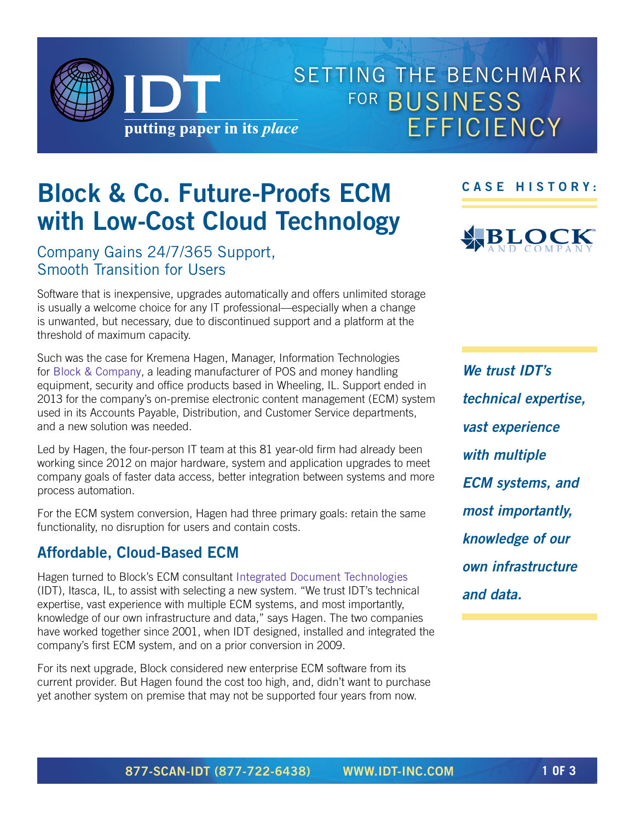SETTING THE BENCHMARK FOR **BUSINESS**  EFFICIENCY putting paper in its place

# **Block & Co. Future-Proofs ECM with Low-Cost Cloud Technology**

Company Gains 24/7/365 Support, Smooth Transition for Users

Software that is inexpensive, upgrades automatically and offers unlimited storage is usually a welcome choice for any IT professional—especially when a change is unwanted, but necessary, due to discontinued support and a platform at the threshold of maximum capacity.

Such was the case for Kremena Hagen, Manager, Information Technologies for [Block & Company](http://www.blockandcompany.com), a leading manufacturer of POS and money handling equipment, security and office products based in Wheeling, IL. Support ended in 2013 for the company's on-premise electronic content management (ECM) system used in its Accounts Payable, Distribution, and Customer Service departments, and a new solution was needed.

Led by Hagen, the four-person IT team at this 81 year-old firm had already been working since 2012 on major hardware, system and application upgrades to meet company goals of faster data access, better integration between systems and more process automation.

For the ECM system conversion, Hagen had three primary goals: retain the same functionality, no disruption for users and contain costs.

## **Affordable, Cloud-Based ECM**

Hagen turned to Block's ECM consultant [Integrated Document Technologies](http://www.idt-inc.com) (IDT), Itasca, IL, to assist with selecting a new system. "We trust IDT's technical expertise, vast experience with multiple ECM systems, and most importantly, knowledge of our own infrastructure and data," says Hagen. The two companies have worked together since 2001, when IDT designed, installed and integrated the company's first ECM system, and on a prior conversion in 2009.

For its next upgrade, Block considered new enterprise ECM software from its current provider. But Hagen found the cost too high, and, didn't want to purchase yet another system on premise that may not be supported four years from now.

**CASE HISTORY:**



*We trust IDT's technical expertise, vast experience with multiple ECM systems, and most importantly, knowledge of our own infrastructure and data.*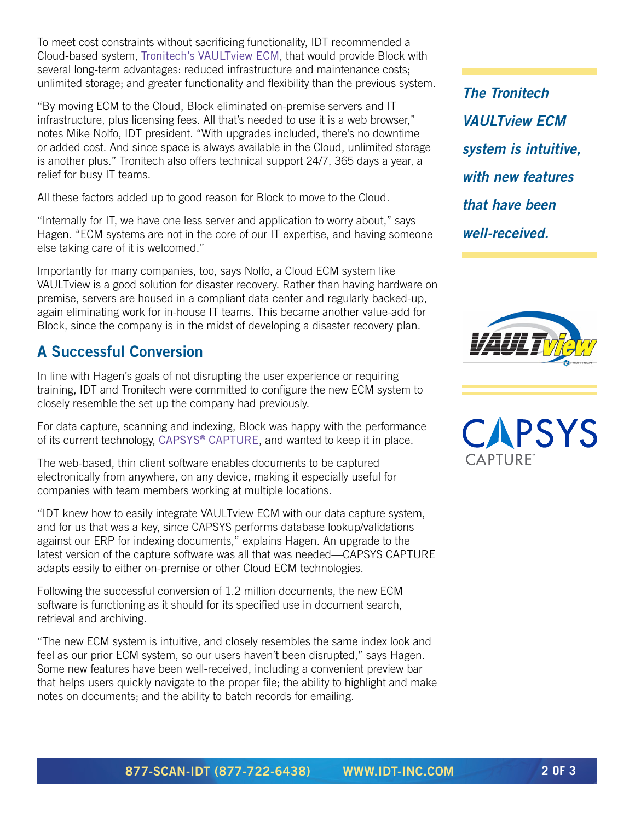To meet cost constraints without sacrificing functionality, IDT recommended a Cloud-based system, [Tronitech's VAULTview ECM](http://www.tronitech.com/solutions/vaultview/), that would provide Block with several long-term advantages: reduced infrastructure and maintenance costs; unlimited storage; and greater functionality and flexibility than the previous system.

"By moving ECM to the Cloud, Block eliminated on-premise servers and IT infrastructure, plus licensing fees. All that's needed to use it is a web browser," notes Mike Nolfo, IDT president. "With upgrades included, there's no downtime or added cost. And since space is always available in the Cloud, unlimited storage is another plus." Tronitech also offers technical support 24/7, 365 days a year, a relief for busy IT teams.

All these factors added up to good reason for Block to move to the Cloud.

"Internally for IT, we have one less server and application to worry about," says Hagen. "ECM systems are not in the core of our IT expertise, and having someone else taking care of it is welcomed."

Importantly for many companies, too, says Nolfo, a Cloud ECM system like VAULTview is a good solution for disaster recovery. Rather than having hardware on premise, servers are housed in a compliant data center and regularly backed-up, again eliminating work for in-house IT teams. This became another value-add for Block, since the company is in the midst of developing a disaster recovery plan.

## **A Successful Conversion**

In line with Hagen's goals of not disrupting the user experience or requiring training, IDT and Tronitech were committed to configure the new ECM system to closely resemble the set up the company had previously.

For data capture, scanning and indexing, Block was happy with the performance of its current technology, [CAPSYS® CAPTURE](http://www.capsystech.com/static.asp?path=2887), and wanted to keep it in place.

The web-based, thin client software enables documents to be captured electronically from anywhere, on any device, making it especially useful for companies with team members working at multiple locations.

"IDT knew how to easily integrate VAULTview ECM with our data capture system, and for us that was a key, since CAPSYS performs database lookup/validations against our ERP for indexing documents," explains Hagen. An upgrade to the latest version of the capture software was all that was needed—CAPSYS CAPTURE adapts easily to either on-premise or other Cloud ECM technologies.

Following the successful conversion of 1.2 million documents, the new ECM software is functioning as it should for its specified use in document search, retrieval and archiving.

"The new ECM system is intuitive, and closely resembles the same index look and feel as our prior ECM system, so our users haven't been disrupted," says Hagen. Some new features have been well-received, including a convenient preview bar that helps users quickly navigate to the proper file; the ability to highlight and make notes on documents; and the ability to batch records for emailing.

*The Tronitech VAULTview ECM system is intuitive, with new features that have been well-received.*



CAPSYS CAPTURF